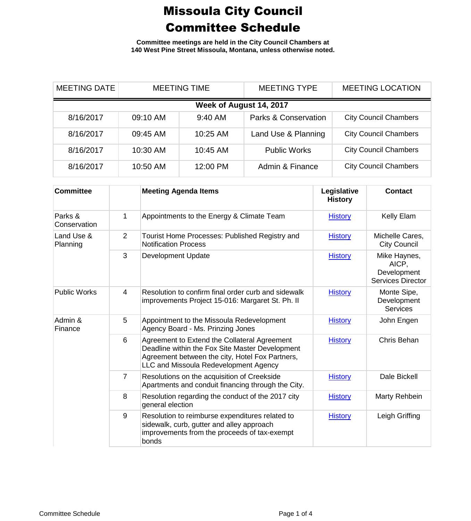**Committee meetings are held in the City Council Chambers at 140 West Pine Street Missoula, Montana, unless otherwise noted.**

| <b>MEETING DATE</b>     | <b>MEETING TIME</b> |          | <b>MEETING TYPE</b>             | <b>MEETING LOCATION</b>      |  |  |  |
|-------------------------|---------------------|----------|---------------------------------|------------------------------|--|--|--|
| Week of August 14, 2017 |                     |          |                                 |                              |  |  |  |
| 8/16/2017               | 09:10 AM            | 9:40 AM  | <b>Parks &amp; Conservation</b> | <b>City Council Chambers</b> |  |  |  |
| 8/16/2017               | 09:45 AM            | 10:25 AM | Land Use & Planning             | <b>City Council Chambers</b> |  |  |  |
| 8/16/2017               | 10:30 AM            | 10:45 AM | <b>Public Works</b>             | <b>City Council Chambers</b> |  |  |  |
| 8/16/2017               | 10:50 AM            | 12:00 PM | Admin & Finance                 | <b>City Council Chambers</b> |  |  |  |

| <b>Committee</b>        |                | <b>Meeting Agenda Items</b>                                                                                                                                                                 | Legislative<br><b>History</b> | <b>Contact</b>                                                   |
|-------------------------|----------------|---------------------------------------------------------------------------------------------------------------------------------------------------------------------------------------------|-------------------------------|------------------------------------------------------------------|
| Parks &<br>Conservation | 1              | Appointments to the Energy & Climate Team                                                                                                                                                   | <b>History</b>                | Kelly Elam                                                       |
| Land Use &<br>Planning  | 2              | Tourist Home Processes: Published Registry and<br><b>Notification Process</b>                                                                                                               | <b>History</b>                | Michelle Cares,<br><b>City Council</b>                           |
|                         | 3              | <b>Development Update</b>                                                                                                                                                                   | <b>History</b>                | Mike Haynes,<br>AICP,<br>Development<br><b>Services Director</b> |
| <b>Public Works</b>     | 4              | Resolution to confirm final order curb and sidewalk<br>improvements Project 15-016: Margaret St. Ph. II                                                                                     | <b>History</b>                | Monte Sipe,<br>Development<br><b>Services</b>                    |
| Admin &<br>Finance      | 5              | Appointment to the Missoula Redevelopment<br>Agency Board - Ms. Prinzing Jones                                                                                                              | <b>History</b>                | John Engen                                                       |
|                         | 6              | Agreement to Extend the Collateral Agreement<br>Deadline within the Fox Site Master Development<br>Agreement between the city, Hotel Fox Partners,<br>LLC and Missoula Redevelopment Agency | <b>History</b>                | Chris Behan                                                      |
|                         | $\overline{7}$ | Resolutions on the acquisition of Creekside<br>Apartments and conduit financing through the City.                                                                                           | <b>History</b>                | Dale Bickell                                                     |
|                         | 8              | Resolution regarding the conduct of the 2017 city<br>general election                                                                                                                       | <b>History</b>                | Marty Rehbein                                                    |
|                         | 9              | Resolution to reimburse expenditures related to<br>sidewalk, curb, gutter and alley approach<br>improvements from the proceeds of tax-exempt<br>bonds                                       | <b>History</b>                | Leigh Griffing                                                   |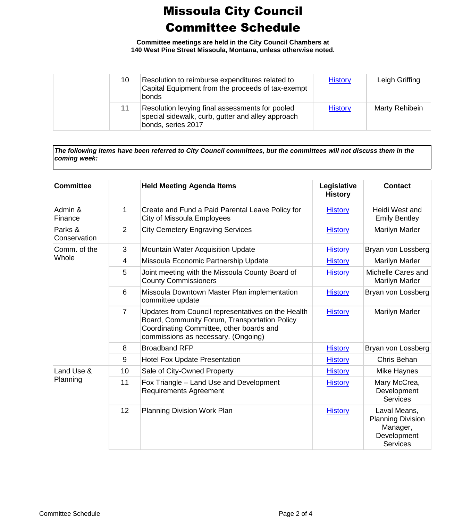**Committee meetings are held in the City Council Chambers at 140 West Pine Street Missoula, Montana, unless otherwise noted.**

| 10 | Resolution to reimburse expenditures related to<br>Capital Equipment from the proceeds of tax-exempt<br>bonds              | <b>History</b> | Leigh Griffing        |
|----|----------------------------------------------------------------------------------------------------------------------------|----------------|-----------------------|
| 11 | Resolution levying final assessments for pooled<br>special sidewalk, curb, gutter and alley approach<br>bonds, series 2017 | <b>History</b> | <b>Marty Rehibein</b> |

*The following items have been referred to City Council committees, but the committees will not discuss them in the coming week:*

| <b>Committee</b>        |                 | <b>Held Meeting Agenda Items</b>                                                                                                                                                       | Legislative<br><b>History</b> | <b>Contact</b>                                                                         |
|-------------------------|-----------------|----------------------------------------------------------------------------------------------------------------------------------------------------------------------------------------|-------------------------------|----------------------------------------------------------------------------------------|
| Admin &<br>Finance      | 1               | Create and Fund a Paid Parental Leave Policy for<br><b>City of Missoula Employees</b>                                                                                                  | <b>History</b>                | Heidi West and<br><b>Emily Bentley</b>                                                 |
| Parks &<br>Conservation | $\overline{2}$  | <b>City Cemetery Engraving Services</b>                                                                                                                                                | <b>History</b>                | Marilyn Marler                                                                         |
| Comm. of the            | 3               | <b>Mountain Water Acquisition Update</b>                                                                                                                                               | <b>History</b>                | Bryan von Lossberg                                                                     |
| Whole                   | 4               | Missoula Economic Partnership Update                                                                                                                                                   | <b>History</b>                | Marilyn Marler                                                                         |
|                         | 5               | Joint meeting with the Missoula County Board of<br><b>County Commissioners</b>                                                                                                         | <b>History</b>                | Michelle Cares and<br>Marilyn Marler                                                   |
|                         | $6\phantom{1}6$ | Missoula Downtown Master Plan implementation<br>committee update                                                                                                                       | <b>History</b>                | Bryan von Lossberg                                                                     |
|                         | $\overline{7}$  | Updates from Council representatives on the Health<br>Board, Community Forum, Transportation Policy<br>Coordinating Committee, other boards and<br>commissions as necessary. (Ongoing) | <b>History</b>                | Marilyn Marler                                                                         |
|                         | 8               | <b>Broadband RFP</b>                                                                                                                                                                   | <b>History</b>                | Bryan von Lossberg                                                                     |
|                         | 9               | <b>Hotel Fox Update Presentation</b>                                                                                                                                                   | <b>History</b>                | Chris Behan                                                                            |
| Land Use &              | 10              | Sale of City-Owned Property                                                                                                                                                            | <b>History</b>                | Mike Haynes                                                                            |
| Planning                | 11              | Fox Triangle - Land Use and Development<br><b>Requirements Agreement</b>                                                                                                               | <b>History</b>                | Mary McCrea,<br>Development<br><b>Services</b>                                         |
|                         | 12              | Planning Division Work Plan                                                                                                                                                            | <b>History</b>                | Laval Means,<br><b>Planning Division</b><br>Manager,<br>Development<br><b>Services</b> |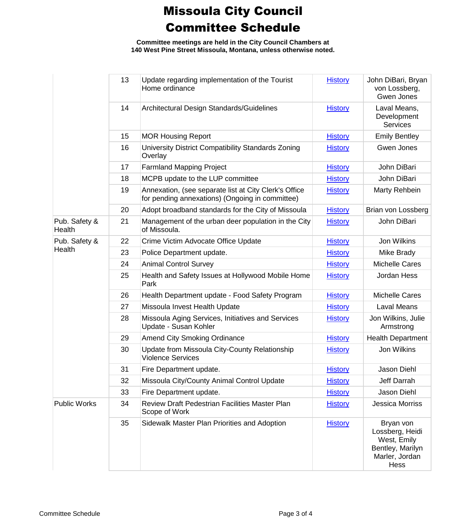**Committee meetings are held in the City Council Chambers at 140 West Pine Street Missoula, Montana, unless otherwise noted.**

|                         | 13 | Update regarding implementation of the Tourist<br>Home ordinance                                         | <b>History</b> | John DiBari, Bryan<br>von Lossberg,<br>Gwen Jones                                         |
|-------------------------|----|----------------------------------------------------------------------------------------------------------|----------------|-------------------------------------------------------------------------------------------|
|                         | 14 | Architectural Design Standards/Guidelines                                                                | <b>History</b> | Laval Means,<br>Development<br><b>Services</b>                                            |
|                         | 15 | <b>MOR Housing Report</b>                                                                                | <b>History</b> | <b>Emily Bentley</b>                                                                      |
|                         | 16 | University District Compatibility Standards Zoning<br>Overlay                                            | <b>History</b> | Gwen Jones                                                                                |
|                         | 17 | <b>Farmland Mapping Project</b>                                                                          | <b>History</b> | John DiBari                                                                               |
|                         | 18 | MCPB update to the LUP committee                                                                         | <b>History</b> | John DiBari                                                                               |
|                         | 19 | Annexation, (see separate list at City Clerk's Office<br>for pending annexations) (Ongoing in committee) | <b>History</b> | Marty Rehbein                                                                             |
|                         | 20 | Adopt broadband standards for the City of Missoula                                                       | <b>History</b> | Brian von Lossberg                                                                        |
| Pub. Safety &<br>Health | 21 | Management of the urban deer population in the City<br>of Missoula.                                      | <b>History</b> | John DiBari                                                                               |
| Pub. Safety &           | 22 | Crime Victim Advocate Office Update                                                                      | <b>History</b> | Jon Wilkins                                                                               |
| Health                  | 23 | Police Department update.                                                                                | <b>History</b> | Mike Brady                                                                                |
|                         | 24 | <b>Animal Control Survey</b>                                                                             | <b>History</b> | <b>Michelle Cares</b>                                                                     |
|                         | 25 | Health and Safety Issues at Hollywood Mobile Home<br>Park                                                | <b>History</b> | Jordan Hess                                                                               |
|                         | 26 | Health Department update - Food Safety Program                                                           | <b>History</b> | <b>Michelle Cares</b>                                                                     |
|                         | 27 | Missoula Invest Health Update                                                                            | <b>History</b> | <b>Laval Means</b>                                                                        |
|                         | 28 | Missoula Aging Services, Initiatives and Services<br>Update - Susan Kohler                               | <b>History</b> | Jon Wilkins, Julie<br>Armstrong                                                           |
|                         | 29 | <b>Amend City Smoking Ordinance</b>                                                                      | <b>History</b> | <b>Health Department</b>                                                                  |
|                         | 30 | Update from Missoula City-County Relationship<br><b>Violence Services</b>                                | <b>History</b> | Jon Wilkins                                                                               |
|                         | 31 | Fire Department update.                                                                                  | <b>History</b> | Jason Diehl                                                                               |
|                         | 32 | Missoula City/County Animal Control Update                                                               | <b>History</b> | Jeff Darrah                                                                               |
|                         | 33 | Fire Department update.                                                                                  | <b>History</b> | Jason Diehl                                                                               |
| <b>Public Works</b>     | 34 | Review Draft Pedestrian Facilities Master Plan<br>Scope of Work                                          | <b>History</b> | <b>Jessica Morriss</b>                                                                    |
|                         | 35 | Sidewalk Master Plan Priorities and Adoption                                                             | <b>History</b> | Bryan von<br>Lossberg, Heidi<br>West, Emily<br>Bentley, Marilyn<br>Marler, Jordan<br>Hess |